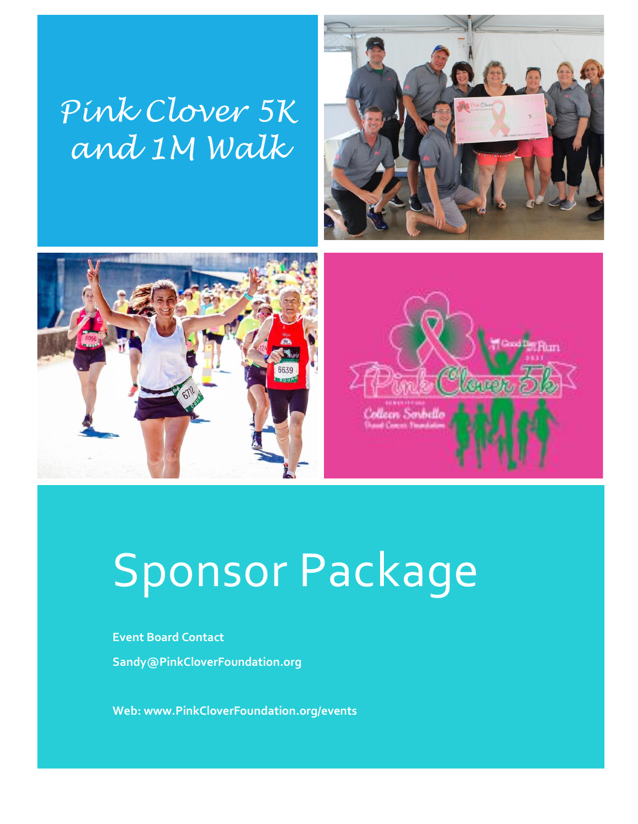## *Pink Clover 5K and 1M Walk*







# Sponsor Package

**Event Board Contact Sandy@PinkCloverFoundation.org**

**Web: www.PinkCloverFoundation.org/events**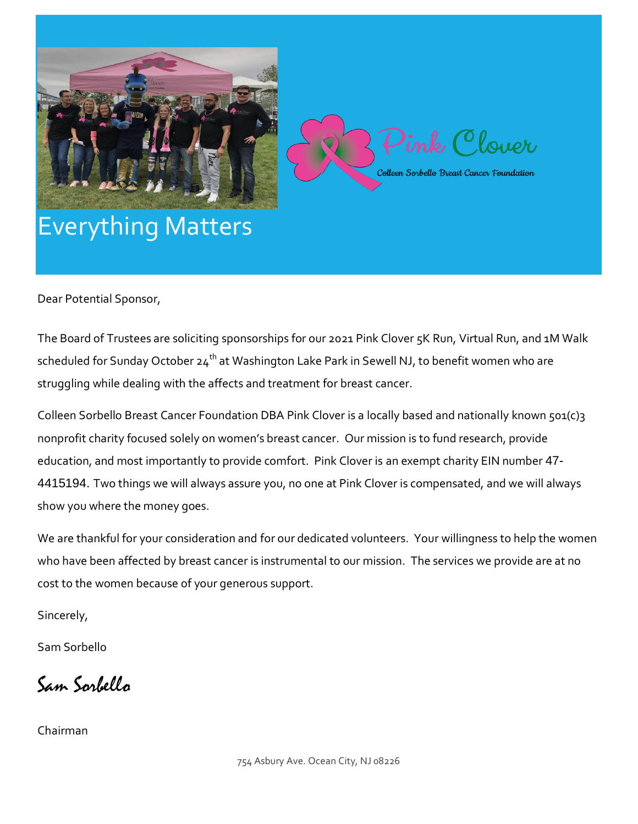



### Everything Matters

Dear Potential Sponsor,

The Board of Trustees are soliciting sponsorships for our 2021 Pink Clover 5K Run, Virtual Run, and 1M Walk scheduled for Sunday October 24<sup>th</sup> at Washington Lake Park in Sewell NJ, to benefit women who are struggling while dealing with the affects and treatment for breast cancer.

Colleen Sorbello Breast Cancer Foundation DBA Pink Clover is a locally based and nationally known 501(c)3 nonprofit charity focused solely on women's breast cancer. Our mission is to fund research, provide education, and most importantly to provide comfort. Pink Clover is an exempt charity EIN number 47- 4415194. Two things we will always assure you, no one at Pink Clover is compensated, and we will always show you where the money goes.

We are thankful for your consideration and for our dedicated volunteers. Your willingness to help the women who have been affected by breast cancer is instrumental to our mission. The services we provide are at no cost to the women because of your generous support.

Sincerely,

Sam Sorbello

Sam Sorbello

Chairman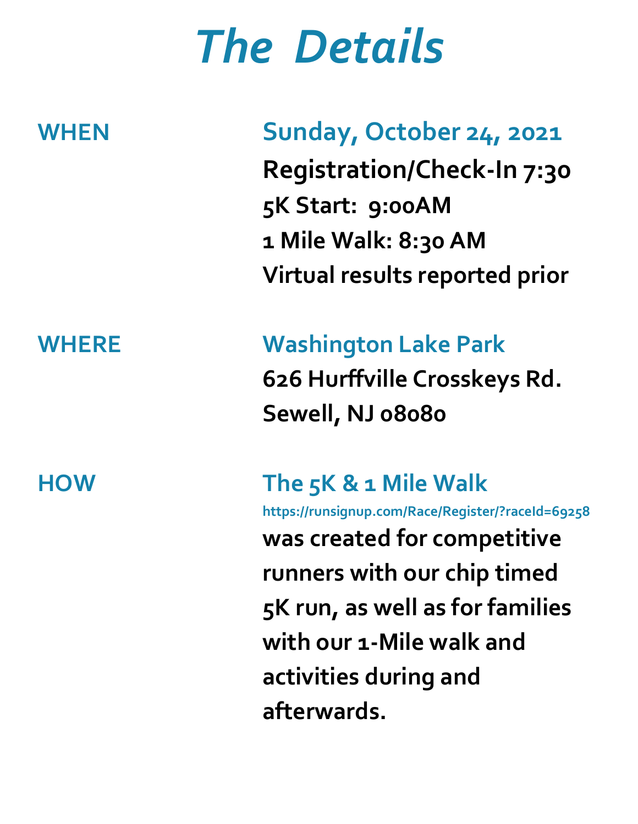# *The Details*

### **WHEN Sunday, October 24, 2021**

**Registration/Check-In 7:30 5K Start: 9:00AM 1 Mile Walk: 8:30 AM Virtual results reported prior** 

## **WHERE Washington Lake Park 626 Hurffville Crosskeys Rd. Sewell, NJ 08080**

**HOW The 5K & 1 Mile Walk https://runsignup.com/Race/Register/?raceId=69258 was created for competitive runners with our chip timed 5K run, as well as for families with our 1-Mile walk and activities during and afterwards.**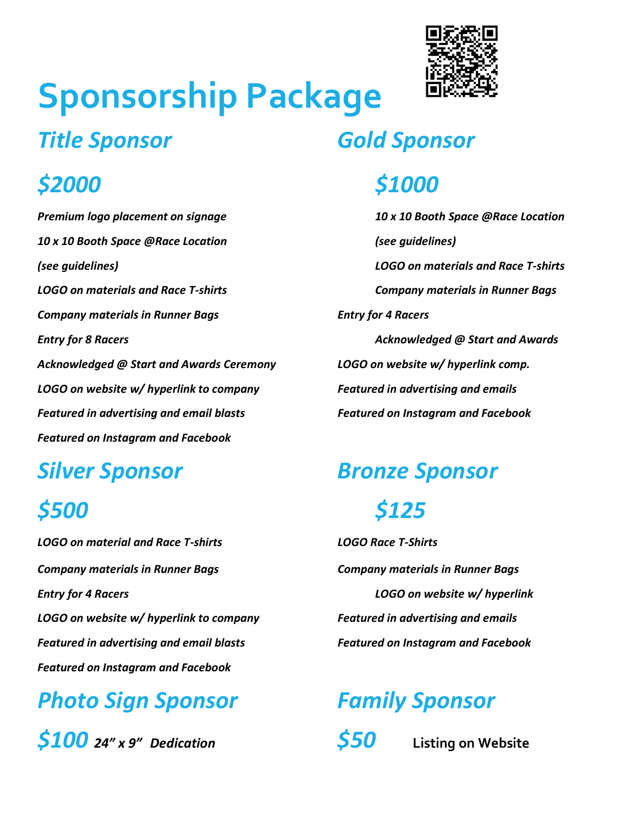# **Sponsorship Package**

### *\$2000 \$1000*

*10 x 10 Booth Space @Race Location (see guidelines) (see guidelines) LOGO on materials and Race T-shirts LOGO on materials and Race T-shirts Company materials in Runner Bags Company materials in Runner Bags Entry for 4 Racers Entry for 8 Racers Acknowledged @ Start and Awards Acknowledged @ Start and Awards Ceremony LOGO on website w/ hyperlink comp. LOGO on website w/ hyperlink to company Featured in advertising and emails Featured in advertising and email blasts Featured on Instagram and Facebook Featured on Instagram and Facebook*

*LOGO on material and Race T-shirts LOGO Race T-Shirts Company materials in Runner Bags Company materials in Runner Bags Entry for 4 Racers LOGO on website w/ hyperlink LOGO on website w/ hyperlink to company Featured in advertising and emails Featured in advertising and email blasts Featured on Instagram and Facebook Featured on Instagram and Facebook*

### *Photo Sign Sponsor Family Sponsor*

*\$100 24" x 9" Dedication \$50* **Listing on Website**



### *Title Sponsor Gold Sponsor*

*Premium logo placement on signage 10 x 10 Booth Space @Race Location*

### *Silver Sponsor Bronze Sponsor*

### *\$500 \$125*